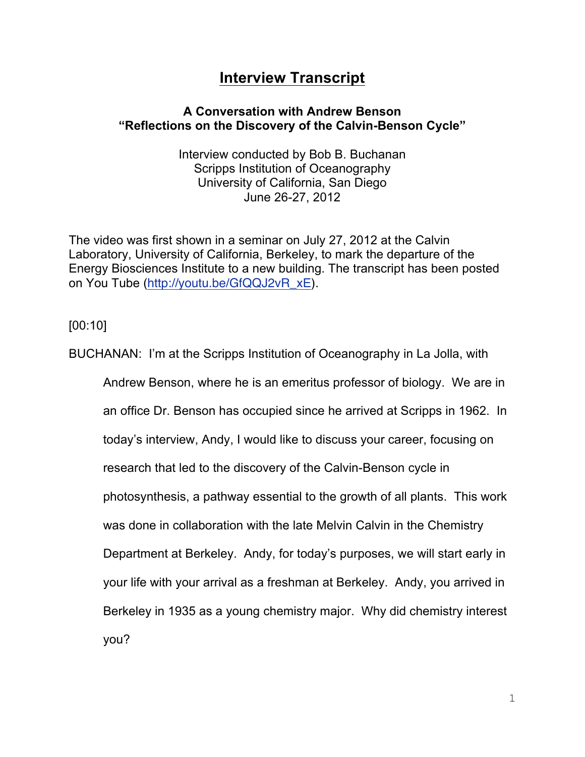## **Interview Transcript**

## **A Conversation with Andrew Benson "Reflections on the Discovery of the Calvin-Benson Cycle"**

Interview conducted by Bob B. Buchanan Scripps Institution of Oceanography University of California, San Diego June 26-27, 2012

The video was first shown in a seminar on July 27, 2012 at the Calvin Laboratory, University of California, Berkeley, to mark the departure of the Energy Biosciences Institute to a new building. The transcript has been posted on You Tube (http://youtu.be/GfQQJ2vR\_xE).

[00:10]

BUCHANAN: I'm at the Scripps Institution of Oceanography in La Jolla, with Andrew Benson, where he is an emeritus professor of biology. We are in an office Dr. Benson has occupied since he arrived at Scripps in 1962. In today's interview, Andy, I would like to discuss your career, focusing on research that led to the discovery of the Calvin-Benson cycle in photosynthesis, a pathway essential to the growth of all plants. This work was done in collaboration with the late Melvin Calvin in the Chemistry Department at Berkeley. Andy, for today's purposes, we will start early in your life with your arrival as a freshman at Berkeley. Andy, you arrived in Berkeley in 1935 as a young chemistry major. Why did chemistry interest you?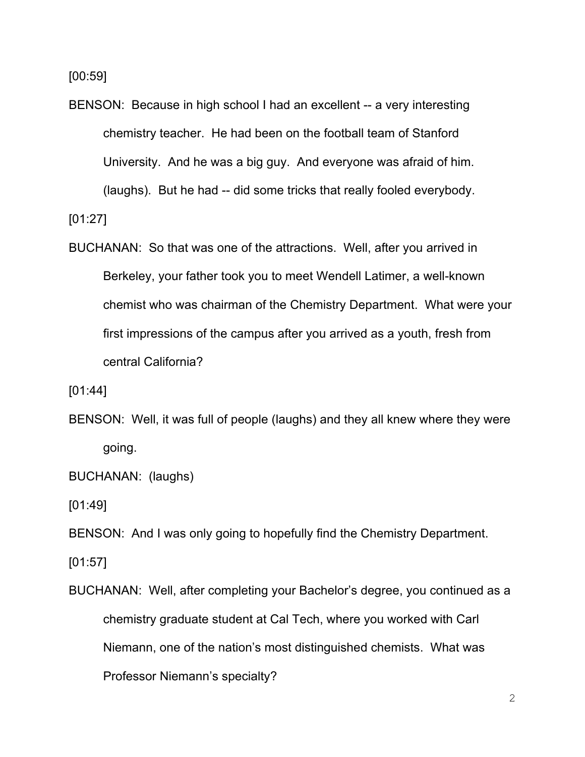[00:59]

BENSON: Because in high school I had an excellent -- a very interesting chemistry teacher. He had been on the football team of Stanford University. And he was a big guy. And everyone was afraid of him. (laughs). But he had -- did some tricks that really fooled everybody.

[01:27]

BUCHANAN: So that was one of the attractions. Well, after you arrived in Berkeley, your father took you to meet Wendell Latimer, a well-known chemist who was chairman of the Chemistry Department. What were your first impressions of the campus after you arrived as a youth, fresh from central California?

[01:44]

BENSON: Well, it was full of people (laughs) and they all knew where they were going.

BUCHANAN: (laughs)

[01:49]

BENSON: And I was only going to hopefully find the Chemistry Department.

[01:57]

BUCHANAN: Well, after completing your Bachelor's degree, you continued as a chemistry graduate student at Cal Tech, where you worked with Carl Niemann, one of the nation's most distinguished chemists. What was Professor Niemann's specialty?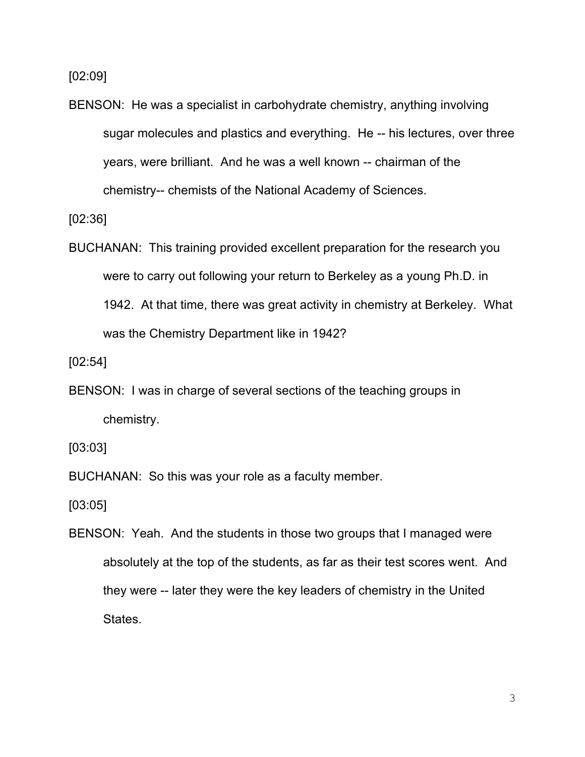[02:09]

BENSON: He was a specialist in carbohydrate chemistry, anything involving sugar molecules and plastics and everything. He -- his lectures, over three years, were brilliant. And he was a well known -- chairman of the chemistry-- chemists of the National Academy of Sciences.

[02:36]

BUCHANAN: This training provided excellent preparation for the research you were to carry out following your return to Berkeley as a young Ph.D. in 1942. At that time, there was great activity in chemistry at Berkeley. What was the Chemistry Department like in 1942?

[02:54]

BENSON: I was in charge of several sections of the teaching groups in chemistry.

[03:03]

BUCHANAN: So this was your role as a faculty member.

[03:05]

BENSON: Yeah. And the students in those two groups that I managed were absolutely at the top of the students, as far as their test scores went. And they were -- later they were the key leaders of chemistry in the United States.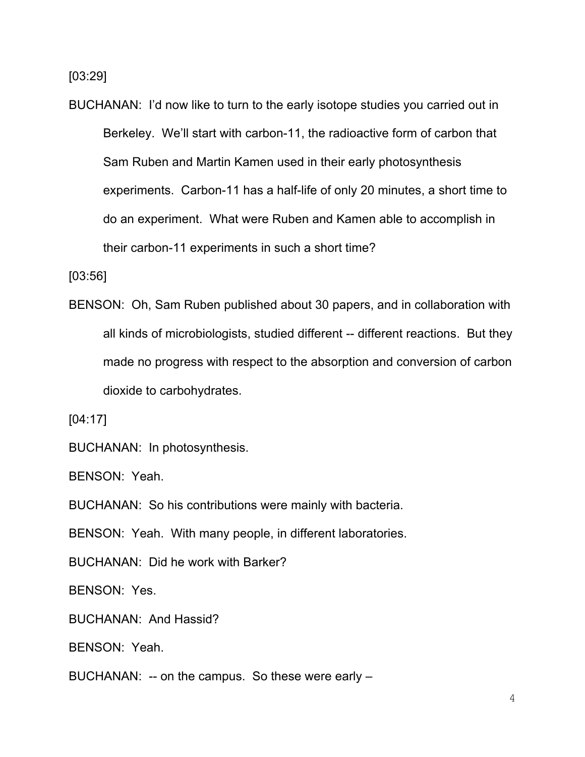[03:29]

BUCHANAN: I'd now like to turn to the early isotope studies you carried out in Berkeley. We'll start with carbon-11, the radioactive form of carbon that Sam Ruben and Martin Kamen used in their early photosynthesis experiments. Carbon-11 has a half-life of only 20 minutes, a short time to do an experiment. What were Ruben and Kamen able to accomplish in their carbon-11 experiments in such a short time?

[03:56]

BENSON: Oh, Sam Ruben published about 30 papers, and in collaboration with all kinds of microbiologists, studied different -- different reactions. But they made no progress with respect to the absorption and conversion of carbon dioxide to carbohydrates.

[04:17]

BUCHANAN: In photosynthesis.

BENSON: Yeah.

BUCHANAN: So his contributions were mainly with bacteria.

BENSON: Yeah. With many people, in different laboratories.

BUCHANAN: Did he work with Barker?

BENSON: Yes.

BUCHANAN: And Hassid?

BENSON: Yeah.

BUCHANAN: -- on the campus. So these were early –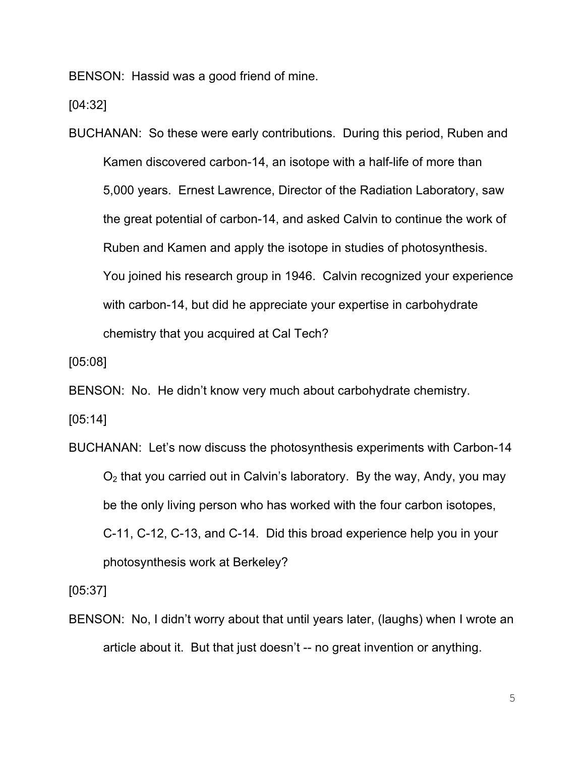BENSON: Hassid was a good friend of mine.

[04:32]

BUCHANAN: So these were early contributions. During this period, Ruben and Kamen discovered carbon-14, an isotope with a half-life of more than 5,000 years. Ernest Lawrence, Director of the Radiation Laboratory, saw the great potential of carbon-14, and asked Calvin to continue the work of Ruben and Kamen and apply the isotope in studies of photosynthesis. You joined his research group in 1946. Calvin recognized your experience with carbon-14, but did he appreciate your expertise in carbohydrate chemistry that you acquired at Cal Tech?

[05:08]

BENSON: No. He didn't know very much about carbohydrate chemistry.

[05:14]

BUCHANAN: Let's now discuss the photosynthesis experiments with Carbon-14  $O<sub>2</sub>$  that you carried out in Calvin's laboratory. By the way, Andy, you may be the only living person who has worked with the four carbon isotopes, C-11, C-12, C-13, and C-14. Did this broad experience help you in your photosynthesis work at Berkeley?

[05:37]

BENSON: No, I didn't worry about that until years later, (laughs) when I wrote an article about it. But that just doesn't -- no great invention or anything.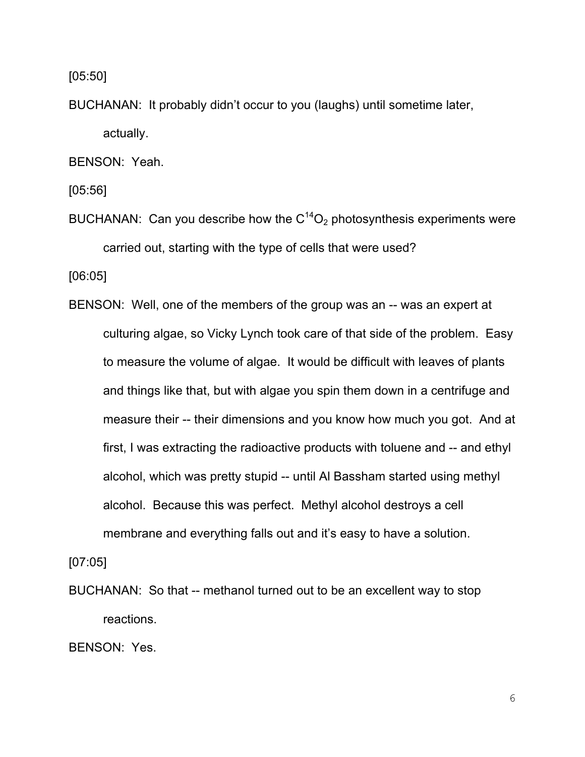[05:50]

BUCHANAN: It probably didn't occur to you (laughs) until sometime later, actually.

BENSON: Yeah.

[05:56]

BUCHANAN: Can you describe how the  $C^{14}O_2$  photosynthesis experiments were carried out, starting with the type of cells that were used?

[06:05]

BENSON: Well, one of the members of the group was an -- was an expert at culturing algae, so Vicky Lynch took care of that side of the problem. Easy to measure the volume of algae. It would be difficult with leaves of plants and things like that, but with algae you spin them down in a centrifuge and measure their -- their dimensions and you know how much you got. And at first, I was extracting the radioactive products with toluene and -- and ethyl alcohol, which was pretty stupid -- until Al Bassham started using methyl alcohol. Because this was perfect. Methyl alcohol destroys a cell membrane and everything falls out and it's easy to have a solution.

[07:05]

BUCHANAN: So that -- methanol turned out to be an excellent way to stop reactions.

BENSON: Yes.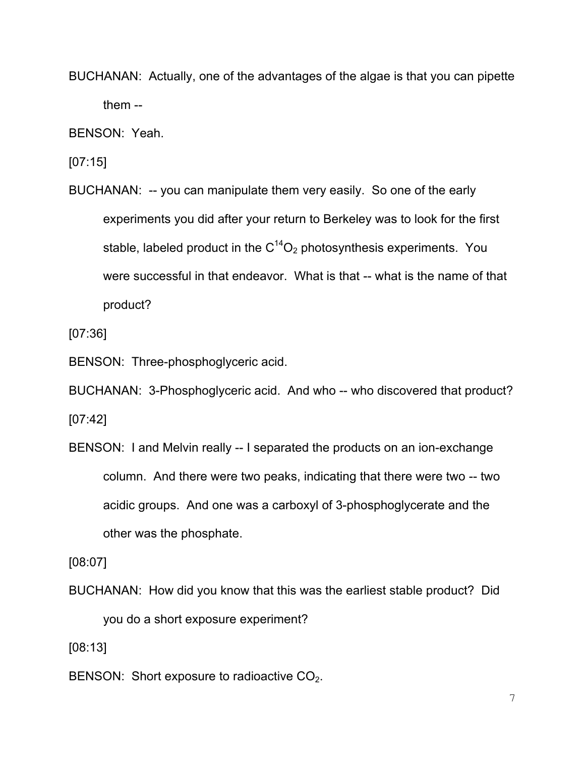BUCHANAN: Actually, one of the advantages of the algae is that you can pipette them --

BENSON: Yeah.

[07:15]

BUCHANAN: -- you can manipulate them very easily. So one of the early experiments you did after your return to Berkeley was to look for the first stable, labeled product in the  $C^{14}O_2$  photosynthesis experiments. You were successful in that endeavor. What is that -- what is the name of that product?

[07:36]

BENSON: Three-phosphoglyceric acid.

BUCHANAN: 3-Phosphoglyceric acid. And who -- who discovered that product?  $[07:42]$ 

BENSON: I and Melvin really -- I separated the products on an ion-exchange column. And there were two peaks, indicating that there were two -- two acidic groups. And one was a carboxyl of 3-phosphoglycerate and the other was the phosphate.

[08:07]

BUCHANAN: How did you know that this was the earliest stable product? Did you do a short exposure experiment?

[08:13]

BENSON: Short exposure to radioactive CO<sub>2</sub>.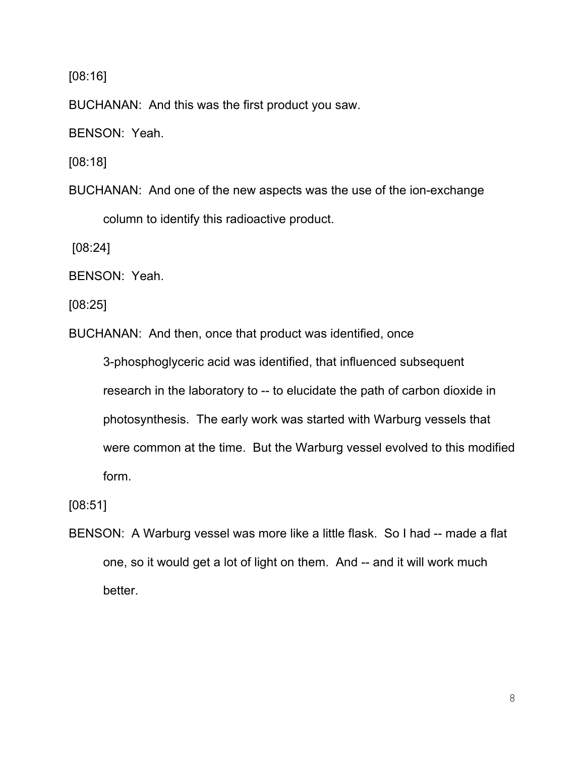[08:16]

BUCHANAN: And this was the first product you saw.

BENSON: Yeah.

[08:18]

BUCHANAN: And one of the new aspects was the use of the ion-exchange column to identify this radioactive product.

[08:24]

BENSON: Yeah.

[08:25]

BUCHANAN: And then, once that product was identified, once

3-phosphoglyceric acid was identified, that influenced subsequent research in the laboratory to -- to elucidate the path of carbon dioxide in photosynthesis. The early work was started with Warburg vessels that were common at the time. But the Warburg vessel evolved to this modified form.

[08:51]

BENSON: A Warburg vessel was more like a little flask. So I had -- made a flat one, so it would get a lot of light on them. And -- and it will work much better.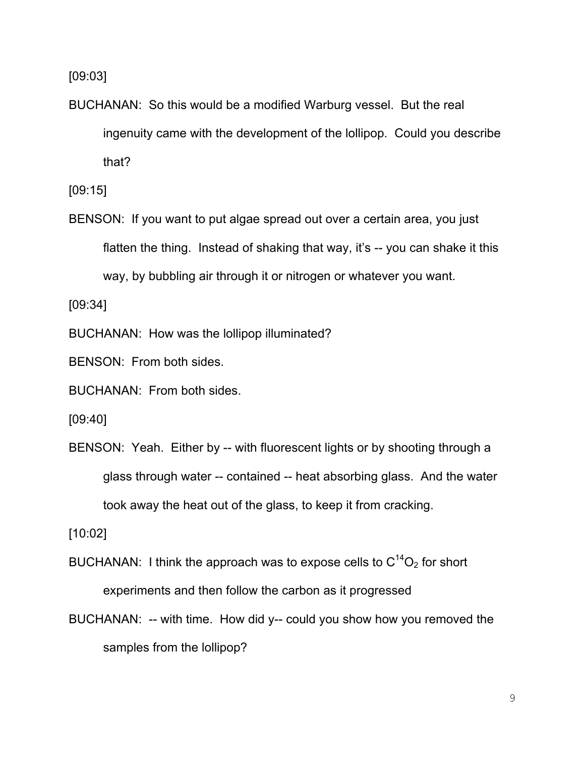[09:03]

BUCHANAN: So this would be a modified Warburg vessel. But the real ingenuity came with the development of the lollipop. Could you describe that?

[09:15]

BENSON: If you want to put algae spread out over a certain area, you just flatten the thing. Instead of shaking that way, it's -- you can shake it this way, by bubbling air through it or nitrogen or whatever you want.

[09:34]

BUCHANAN: How was the lollipop illuminated?

BENSON: From both sides.

BUCHANAN: From both sides.

[09:40]

BENSON: Yeah. Either by -- with fluorescent lights or by shooting through a glass through water -- contained -- heat absorbing glass. And the water took away the heat out of the glass, to keep it from cracking.

[10:02]

- BUCHANAN: I think the approach was to expose cells to  $C^{14}O_2$  for short experiments and then follow the carbon as it progressed
- BUCHANAN: -- with time. How did y-- could you show how you removed the samples from the lollipop?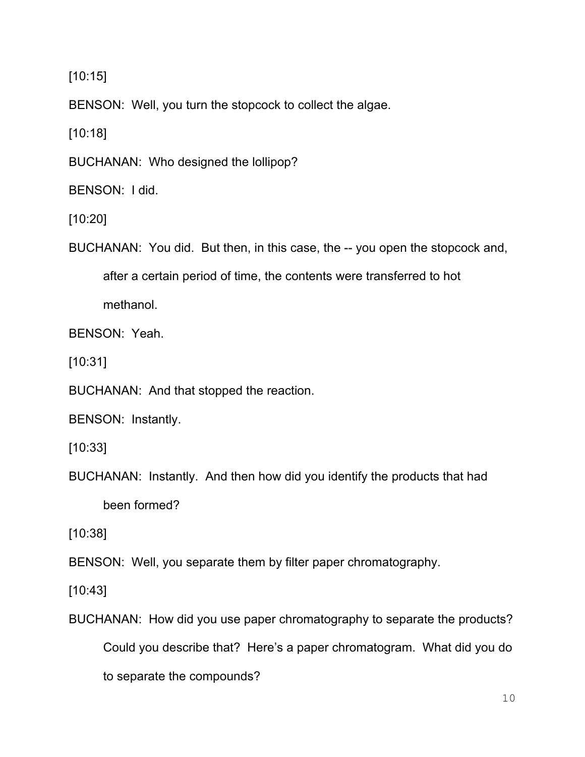[10:15]

BENSON: Well, you turn the stopcock to collect the algae.

[10:18]

BUCHANAN: Who designed the lollipop?

BENSON: I did.

[10:20]

BUCHANAN: You did. But then, in this case, the -- you open the stopcock and,

after a certain period of time, the contents were transferred to hot

methanol.

BENSON: Yeah.

[10:31]

BUCHANAN: And that stopped the reaction.

BENSON: Instantly.

[10:33]

BUCHANAN: Instantly. And then how did you identify the products that had been formed?

[10:38]

BENSON: Well, you separate them by filter paper chromatography.

[10:43]

BUCHANAN: How did you use paper chromatography to separate the products? Could you describe that? Here's a paper chromatogram. What did you do to separate the compounds?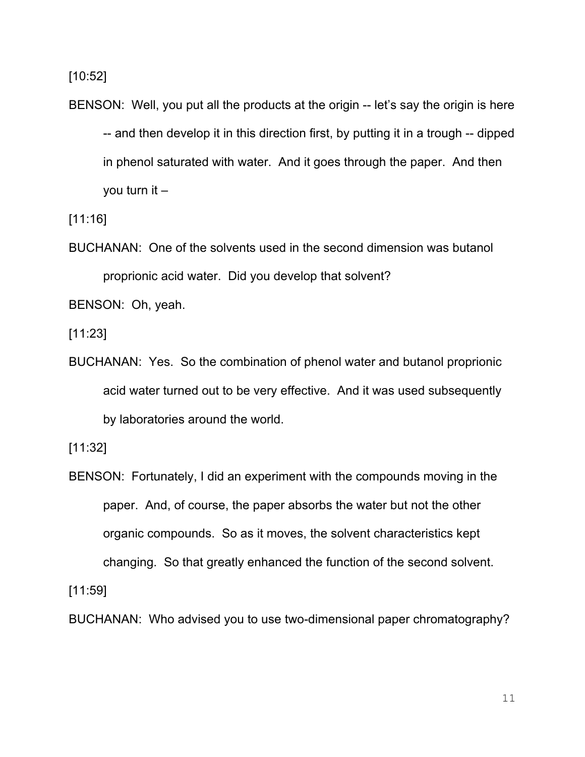[10:52]

BENSON: Well, you put all the products at the origin -- let's say the origin is here -- and then develop it in this direction first, by putting it in a trough -- dipped in phenol saturated with water. And it goes through the paper. And then you turn it –

[11:16]

BUCHANAN: One of the solvents used in the second dimension was butanol proprionic acid water. Did you develop that solvent?

BENSON: Oh, yeah.

[11:23]

BUCHANAN: Yes. So the combination of phenol water and butanol proprionic acid water turned out to be very effective. And it was used subsequently by laboratories around the world.

[11:32]

BENSON: Fortunately, I did an experiment with the compounds moving in the paper. And, of course, the paper absorbs the water but not the other organic compounds. So as it moves, the solvent characteristics kept changing. So that greatly enhanced the function of the second solvent.

[11:59]

BUCHANAN: Who advised you to use two-dimensional paper chromatography?

11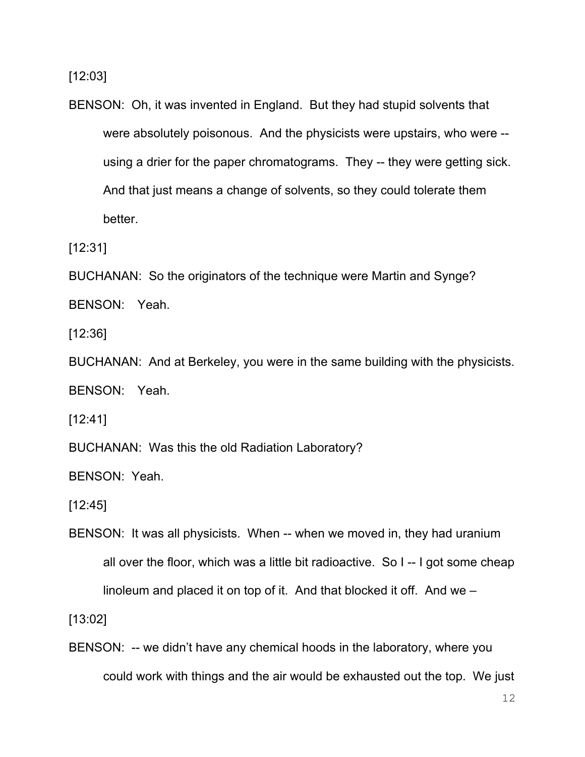[12:03]

BENSON: Oh, it was invented in England. But they had stupid solvents that were absolutely poisonous. And the physicists were upstairs, who were - using a drier for the paper chromatograms. They -- they were getting sick. And that just means a change of solvents, so they could tolerate them better.

[12:31]

BUCHANAN: So the originators of the technique were Martin and Synge?

BENSON: Yeah.

[12:36]

BUCHANAN: And at Berkeley, you were in the same building with the physicists.

BENSON: Yeah.

[12:41]

BUCHANAN: Was this the old Radiation Laboratory?

BENSON: Yeah.

[12:45]

BENSON: It was all physicists. When -- when we moved in, they had uranium all over the floor, which was a little bit radioactive. So I -- I got some cheap linoleum and placed it on top of it. And that blocked it off. And we –

[13:02]

BENSON: -- we didn't have any chemical hoods in the laboratory, where you could work with things and the air would be exhausted out the top. We just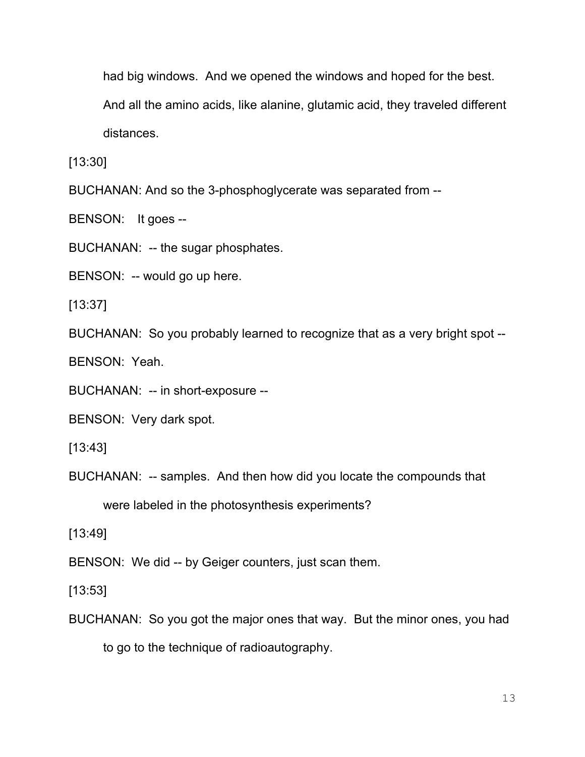had big windows. And we opened the windows and hoped for the best.

And all the amino acids, like alanine, glutamic acid, they traveled different

distances.

[13:30]

BUCHANAN: And so the 3-phosphoglycerate was separated from --

BENSON: It goes --

BUCHANAN: -- the sugar phosphates.

BENSON: -- would go up here.

[13:37]

BUCHANAN: So you probably learned to recognize that as a very bright spot --

BENSON: Yeah.

BUCHANAN: -- in short-exposure --

BENSON: Very dark spot.

[13:43]

BUCHANAN: -- samples. And then how did you locate the compounds that were labeled in the photosynthesis experiments?

[13:49]

BENSON: We did -- by Geiger counters, just scan them.

[13:53]

BUCHANAN: So you got the major ones that way. But the minor ones, you had to go to the technique of radioautography.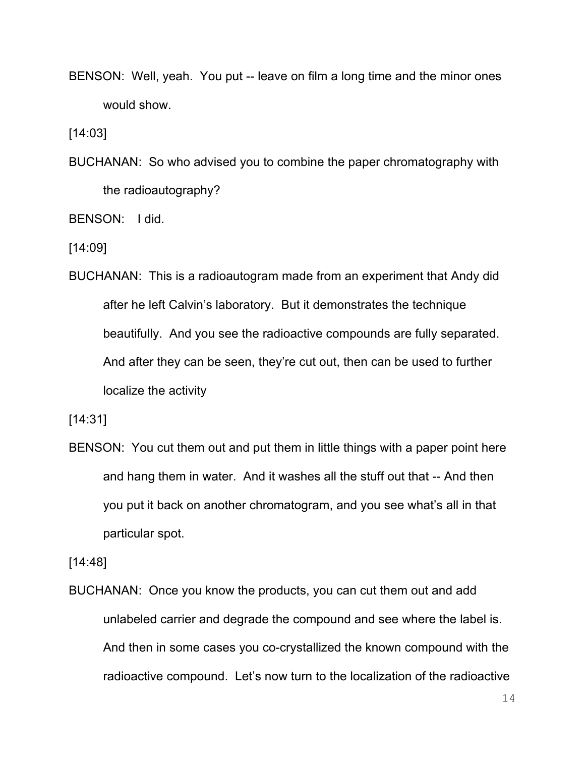BENSON: Well, yeah. You put -- leave on film a long time and the minor ones would show.

[14:03]

BUCHANAN: So who advised you to combine the paper chromatography with the radioautography?

BENSON: I did.

[14:09]

BUCHANAN: This is a radioautogram made from an experiment that Andy did after he left Calvin's laboratory. But it demonstrates the technique beautifully. And you see the radioactive compounds are fully separated. And after they can be seen, they're cut out, then can be used to further localize the activity

[14:31]

BENSON: You cut them out and put them in little things with a paper point here and hang them in water. And it washes all the stuff out that -- And then you put it back on another chromatogram, and you see what's all in that particular spot.

[14:48]

BUCHANAN: Once you know the products, you can cut them out and add unlabeled carrier and degrade the compound and see where the label is. And then in some cases you co-crystallized the known compound with the radioactive compound. Let's now turn to the localization of the radioactive

14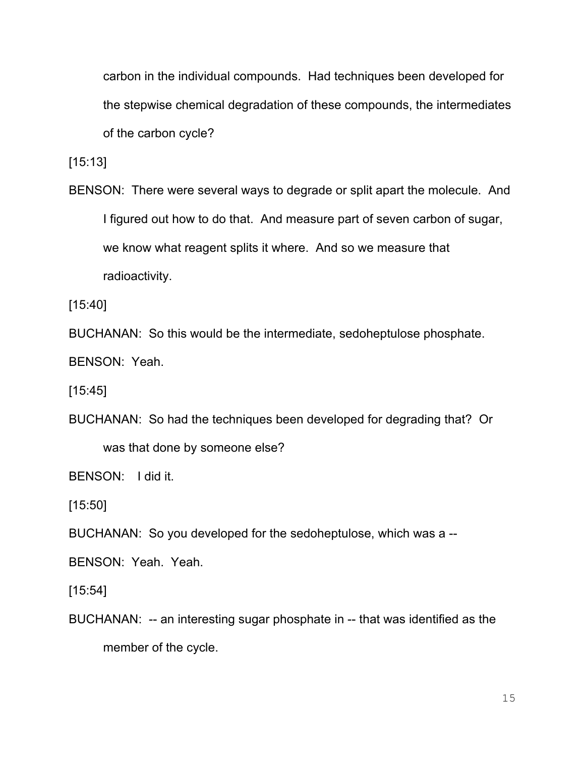carbon in the individual compounds. Had techniques been developed for the stepwise chemical degradation of these compounds, the intermediates of the carbon cycle?

[15:13]

BENSON: There were several ways to degrade or split apart the molecule. And I figured out how to do that. And measure part of seven carbon of sugar, we know what reagent splits it where. And so we measure that radioactivity.

[15:40]

BUCHANAN: So this would be the intermediate, sedoheptulose phosphate.

BENSON: Yeah.

[15:45]

BUCHANAN: So had the techniques been developed for degrading that? Or was that done by someone else?

BENSON: I did it.

[15:50]

BUCHANAN: So you developed for the sedoheptulose, which was a --

BENSON: Yeah. Yeah.

[15:54]

BUCHANAN: -- an interesting sugar phosphate in -- that was identified as the member of the cycle.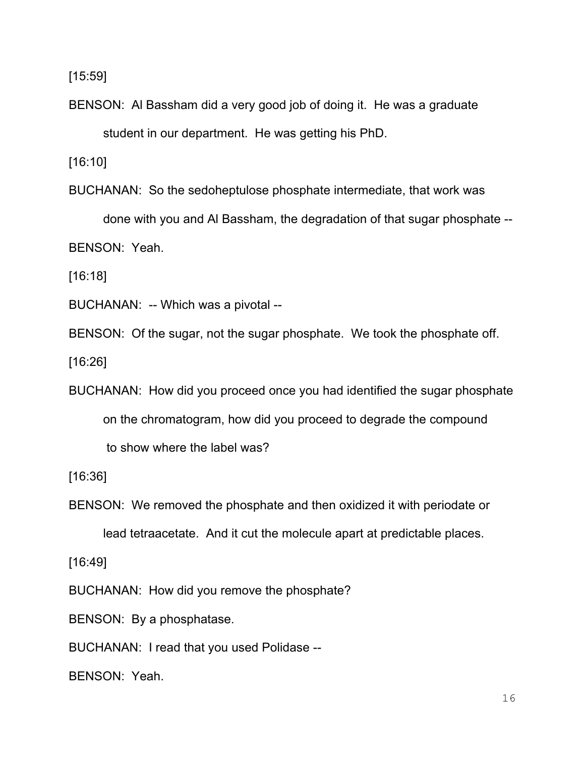[15:59]

BENSON: Al Bassham did a very good job of doing it. He was a graduate student in our department. He was getting his PhD.

[16:10]

BUCHANAN: So the sedoheptulose phosphate intermediate, that work was

done with you and Al Bassham, the degradation of that sugar phosphate -- BENSON: Yeah.

[16:18]

BUCHANAN: -- Which was a pivotal --

BENSON: Of the sugar, not the sugar phosphate. We took the phosphate off.

[16:26]

BUCHANAN: How did you proceed once you had identified the sugar phosphate on the chromatogram, how did you proceed to degrade the compound to show where the label was?

[16:36]

BENSON: We removed the phosphate and then oxidized it with periodate or

lead tetraacetate. And it cut the molecule apart at predictable places.

[16:49]

BUCHANAN: How did you remove the phosphate?

BENSON: By a phosphatase.

BUCHANAN: I read that you used Polidase --

BENSON: Yeah.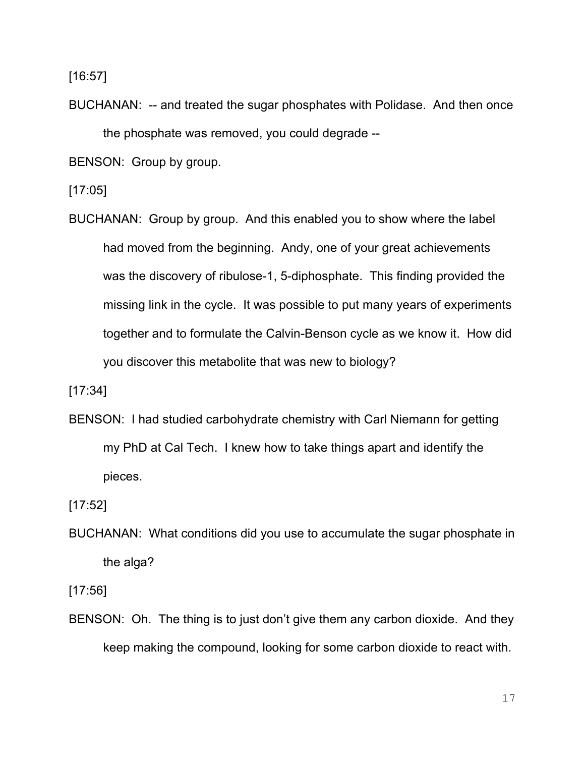[16:57]

BUCHANAN: -- and treated the sugar phosphates with Polidase. And then once the phosphate was removed, you could degrade --

BENSON: Group by group.

[17:05]

BUCHANAN: Group by group. And this enabled you to show where the label had moved from the beginning. Andy, one of your great achievements was the discovery of ribulose-1, 5-diphosphate. This finding provided the missing link in the cycle. It was possible to put many years of experiments together and to formulate the Calvin-Benson cycle as we know it. How did you discover this metabolite that was new to biology?

[17:34]

BENSON: I had studied carbohydrate chemistry with Carl Niemann for getting my PhD at Cal Tech. I knew how to take things apart and identify the pieces.

[17:52]

BUCHANAN: What conditions did you use to accumulate the sugar phosphate in the alga?

[17:56]

BENSON: Oh. The thing is to just don't give them any carbon dioxide. And they keep making the compound, looking for some carbon dioxide to react with.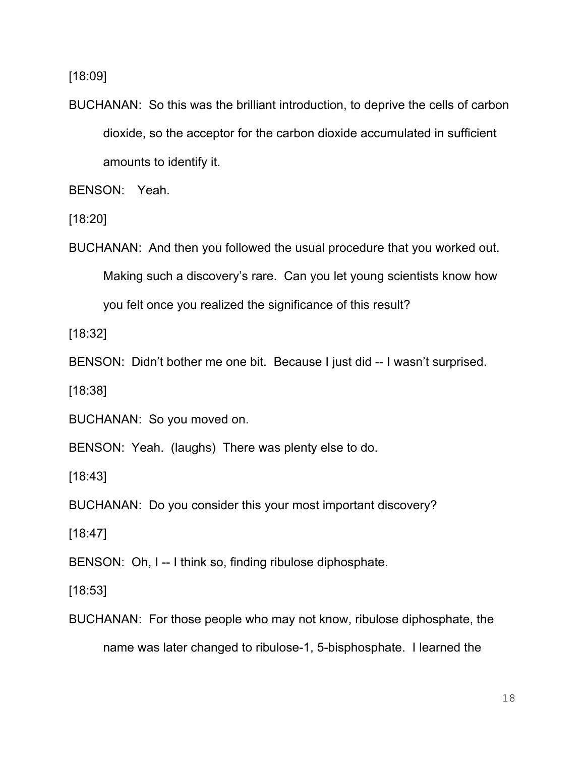[18:09]

BUCHANAN: So this was the brilliant introduction, to deprive the cells of carbon dioxide, so the acceptor for the carbon dioxide accumulated in sufficient amounts to identify it.

BENSON: Yeah.

[18:20]

BUCHANAN: And then you followed the usual procedure that you worked out. Making such a discovery's rare. Can you let young scientists know how you felt once you realized the significance of this result?

[18:32]

BENSON: Didn't bother me one bit. Because I just did -- I wasn't surprised.

[18:38]

BUCHANAN: So you moved on.

BENSON: Yeah. (laughs) There was plenty else to do.

[18:43]

BUCHANAN: Do you consider this your most important discovery?

[18:47]

BENSON: Oh, I -- I think so, finding ribulose diphosphate.

[18:53]

BUCHANAN: For those people who may not know, ribulose diphosphate, the name was later changed to ribulose-1, 5-bisphosphate. I learned the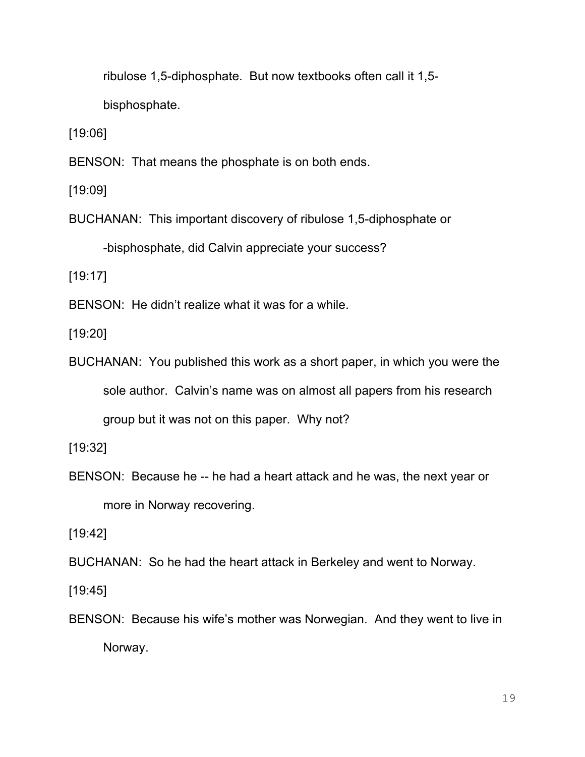ribulose 1,5-diphosphate. But now textbooks often call it 1,5 bisphosphate.

[19:06]

BENSON: That means the phosphate is on both ends.

[19:09]

BUCHANAN: This important discovery of ribulose 1,5-diphosphate or -bisphosphate, did Calvin appreciate your success?

[19:17]

BENSON: He didn't realize what it was for a while.

[19:20]

BUCHANAN: You published this work as a short paper, in which you were the sole author. Calvin's name was on almost all papers from his research group but it was not on this paper. Why not?

[19:32]

BENSON: Because he -- he had a heart attack and he was, the next year or more in Norway recovering.

[19:42]

BUCHANAN: So he had the heart attack in Berkeley and went to Norway.

[19:45]

BENSON: Because his wife's mother was Norwegian. And they went to live in Norway.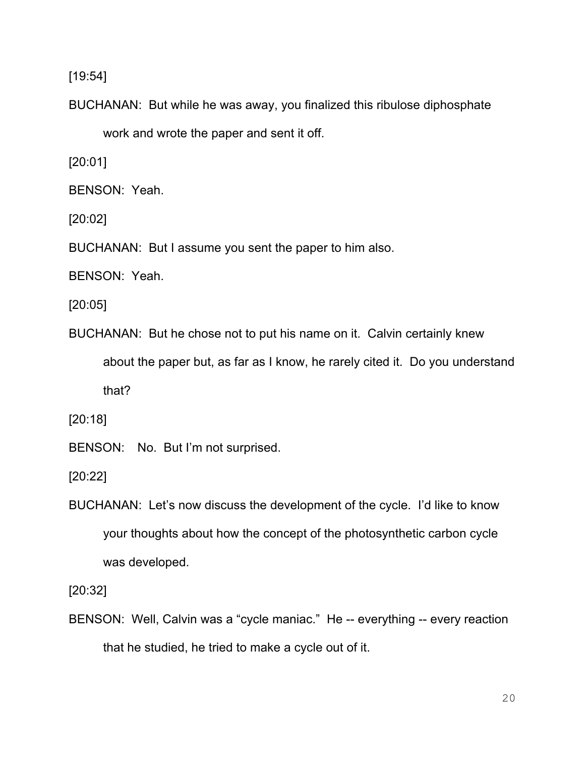[19:54]

BUCHANAN: But while he was away, you finalized this ribulose diphosphate

work and wrote the paper and sent it off.

[20:01]

BENSON: Yeah.

[20:02]

BUCHANAN: But I assume you sent the paper to him also.

BENSON: Yeah.

[20:05]

BUCHANAN: But he chose not to put his name on it. Calvin certainly knew about the paper but, as far as I know, he rarely cited it. Do you understand that?

[20:18]

BENSON: No. But I'm not surprised.

[20:22]

BUCHANAN: Let's now discuss the development of the cycle. I'd like to know your thoughts about how the concept of the photosynthetic carbon cycle was developed.

[20:32]

BENSON: Well, Calvin was a "cycle maniac." He -- everything -- every reaction that he studied, he tried to make a cycle out of it.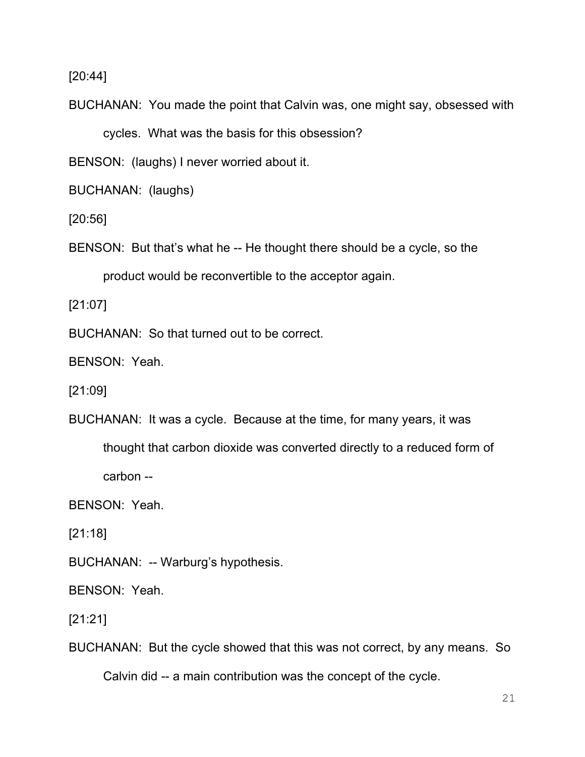[20:44]

BUCHANAN: You made the point that Calvin was, one might say, obsessed with cycles. What was the basis for this obsession?

BENSON: (laughs) I never worried about it.

BUCHANAN: (laughs)

[20:56]

BENSON: But that's what he -- He thought there should be a cycle, so the product would be reconvertible to the acceptor again.

[21:07]

BUCHANAN: So that turned out to be correct.

BENSON: Yeah.

[21:09]

BUCHANAN: It was a cycle. Because at the time, for many years, it was

thought that carbon dioxide was converted directly to a reduced form of

carbon --

BENSON: Yeah.

[21:18]

BUCHANAN: -- Warburg's hypothesis.

BENSON: Yeah.

[21:21]

BUCHANAN: But the cycle showed that this was not correct, by any means. So

Calvin did -- a main contribution was the concept of the cycle.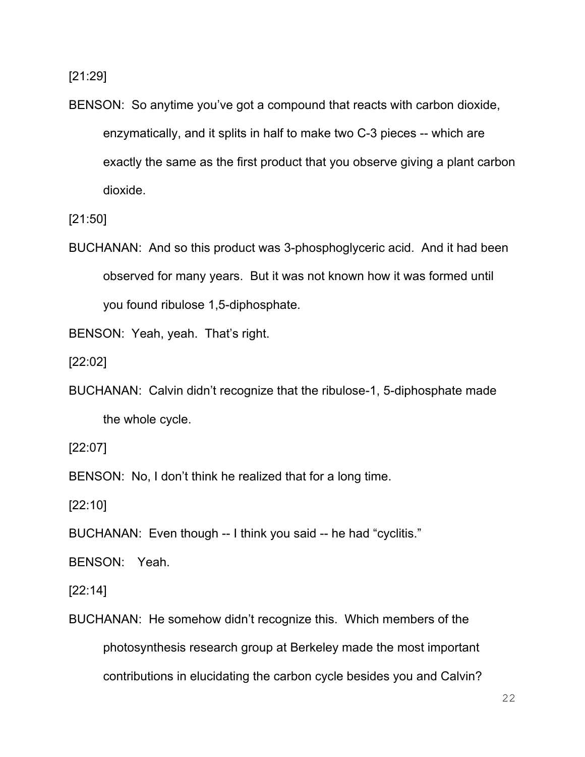[21:29]

BENSON: So anytime you've got a compound that reacts with carbon dioxide, enzymatically, and it splits in half to make two C-3 pieces -- which are exactly the same as the first product that you observe giving a plant carbon dioxide.

[21:50]

BUCHANAN: And so this product was 3-phosphoglyceric acid. And it had been observed for many years. But it was not known how it was formed until you found ribulose 1,5-diphosphate.

BENSON: Yeah, yeah. That's right.

[22:02]

BUCHANAN: Calvin didn't recognize that the ribulose-1, 5-diphosphate made the whole cycle.

[22:07]

BENSON: No, I don't think he realized that for a long time.

[22:10]

BUCHANAN: Even though -- I think you said -- he had "cyclitis."

BENSON: Yeah.

[22:14]

BUCHANAN: He somehow didn't recognize this. Which members of the photosynthesis research group at Berkeley made the most important contributions in elucidating the carbon cycle besides you and Calvin?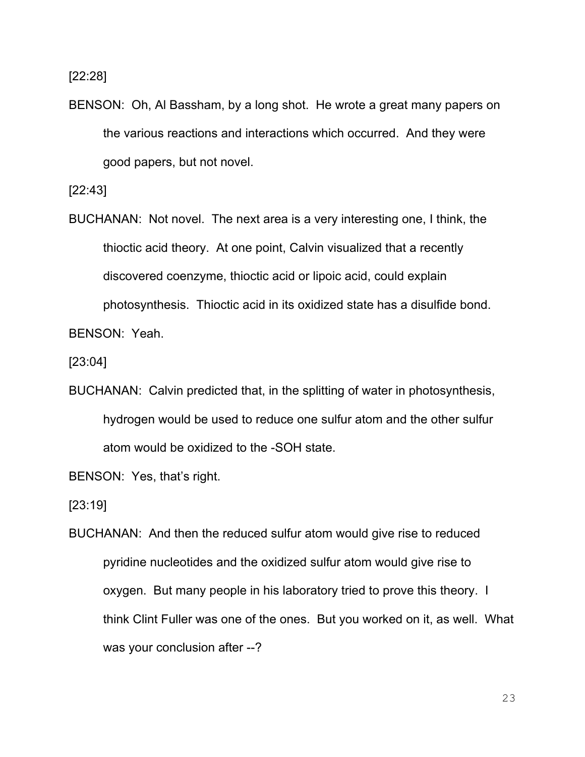[22:28]

BENSON: Oh, Al Bassham, by a long shot. He wrote a great many papers on the various reactions and interactions which occurred. And they were good papers, but not novel.

[22:43]

BUCHANAN: Not novel. The next area is a very interesting one, I think, the thioctic acid theory. At one point, Calvin visualized that a recently discovered coenzyme, thioctic acid or lipoic acid, could explain photosynthesis. Thioctic acid in its oxidized state has a disulfide bond.

BENSON: Yeah.

[23:04]

BUCHANAN: Calvin predicted that, in the splitting of water in photosynthesis, hydrogen would be used to reduce one sulfur atom and the other sulfur atom would be oxidized to the -SOH state.

BENSON: Yes, that's right.

[23:19]

BUCHANAN: And then the reduced sulfur atom would give rise to reduced pyridine nucleotides and the oxidized sulfur atom would give rise to oxygen. But many people in his laboratory tried to prove this theory. I think Clint Fuller was one of the ones. But you worked on it, as well. What was your conclusion after --?

23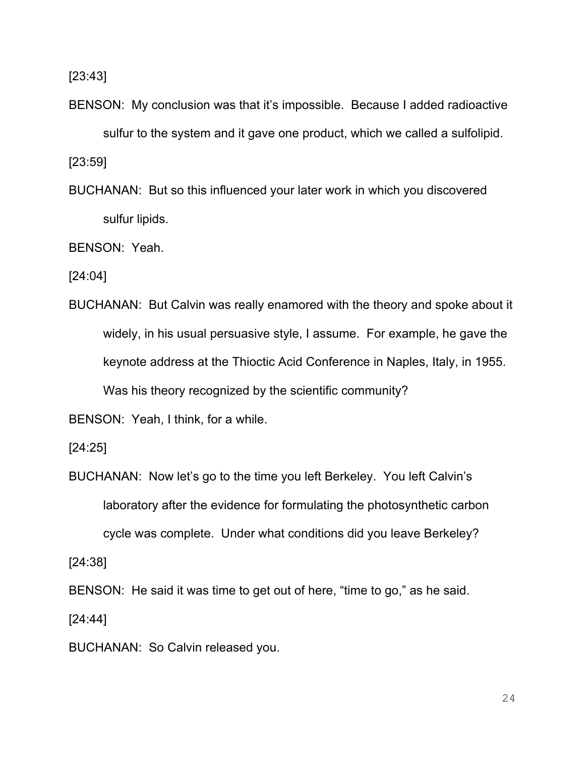[23:43]

BENSON: My conclusion was that it's impossible. Because I added radioactive sulfur to the system and it gave one product, which we called a sulfolipid. [23:59]

BUCHANAN: But so this influenced your later work in which you discovered sulfur lipids.

BENSON: Yeah.

[24:04]

BUCHANAN: But Calvin was really enamored with the theory and spoke about it widely, in his usual persuasive style, I assume. For example, he gave the keynote address at the Thioctic Acid Conference in Naples, Italy, in 1955. Was his theory recognized by the scientific community?

BENSON: Yeah, I think, for a while.

[24:25]

BUCHANAN: Now let's go to the time you left Berkeley. You left Calvin's laboratory after the evidence for formulating the photosynthetic carbon cycle was complete. Under what conditions did you leave Berkeley?

[24:38]

BENSON: He said it was time to get out of here, "time to go," as he said.

[24:44]

BUCHANAN: So Calvin released you.

24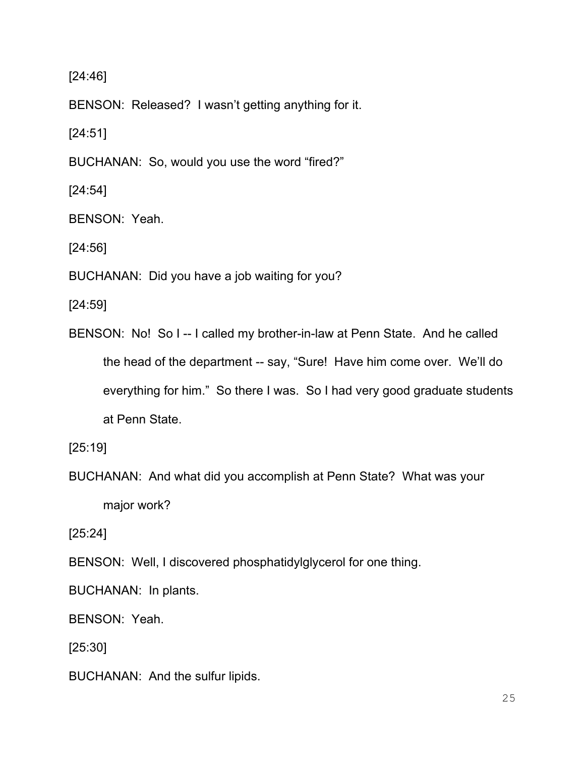[24:46]

BENSON: Released? I wasn't getting anything for it.

[24:51]

BUCHANAN: So, would you use the word "fired?"

[24:54]

BENSON: Yeah.

[24:56]

BUCHANAN: Did you have a job waiting for you?

[24:59]

BENSON: No! So I -- I called my brother-in-law at Penn State. And he called the head of the department -- say, "Sure! Have him come over. We'll do everything for him." So there I was. So I had very good graduate students at Penn State.

[25:19]

BUCHANAN: And what did you accomplish at Penn State? What was your major work?

[25:24]

BENSON: Well, I discovered phosphatidylglycerol for one thing.

BUCHANAN: In plants.

BENSON: Yeah.

[25:30]

BUCHANAN: And the sulfur lipids.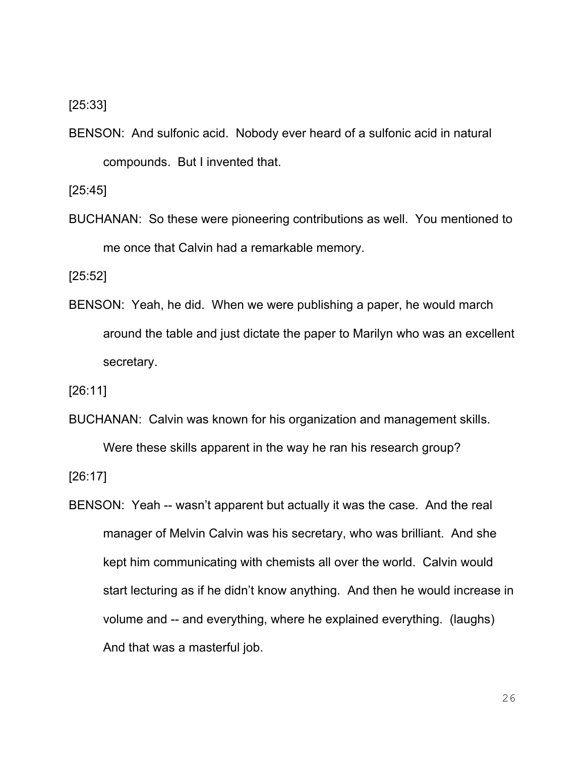## [25:33]

BENSON: And sulfonic acid. Nobody ever heard of a sulfonic acid in natural compounds. But I invented that.

[25:45]

BUCHANAN: So these were pioneering contributions as well. You mentioned to me once that Calvin had a remarkable memory.

[25:52]

BENSON: Yeah, he did. When we were publishing a paper, he would march around the table and just dictate the paper to Marilyn who was an excellent secretary.

[26:11]

BUCHANAN: Calvin was known for his organization and management skills. Were these skills apparent in the way he ran his research group?

[26:17]

BENSON: Yeah -- wasn't apparent but actually it was the case. And the real manager of Melvin Calvin was his secretary, who was brilliant. And she kept him communicating with chemists all over the world. Calvin would start lecturing as if he didn't know anything. And then he would increase in volume and -- and everything, where he explained everything. (laughs) And that was a masterful job.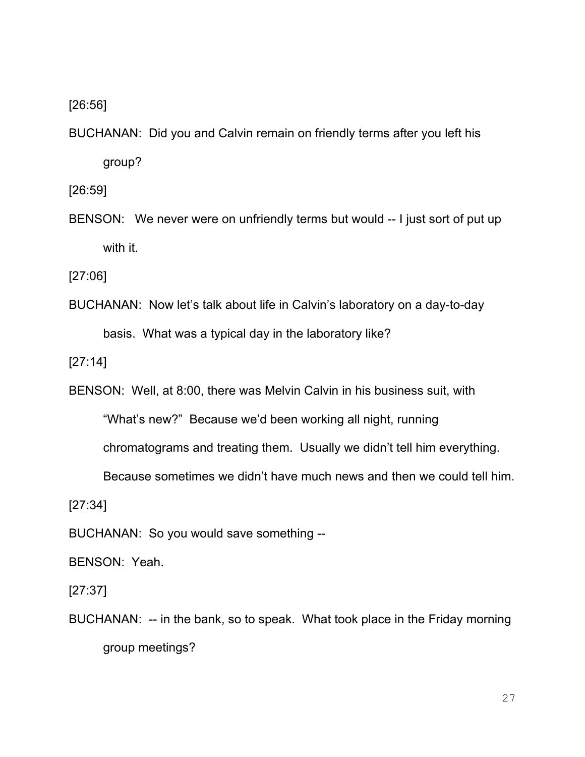[26:56]

BUCHANAN: Did you and Calvin remain on friendly terms after you left his group?

[26:59]

BENSON: We never were on unfriendly terms but would -- I just sort of put up with it.

[27:06]

BUCHANAN: Now let's talk about life in Calvin's laboratory on a day-to-day basis. What was a typical day in the laboratory like?

[27:14]

BENSON: Well, at 8:00, there was Melvin Calvin in his business suit, with

"What's new?" Because we'd been working all night, running

chromatograms and treating them. Usually we didn't tell him everything.

Because sometimes we didn't have much news and then we could tell him.

[27:34]

BUCHANAN: So you would save something --

BENSON: Yeah.

[27:37]

BUCHANAN: -- in the bank, so to speak. What took place in the Friday morning group meetings?

27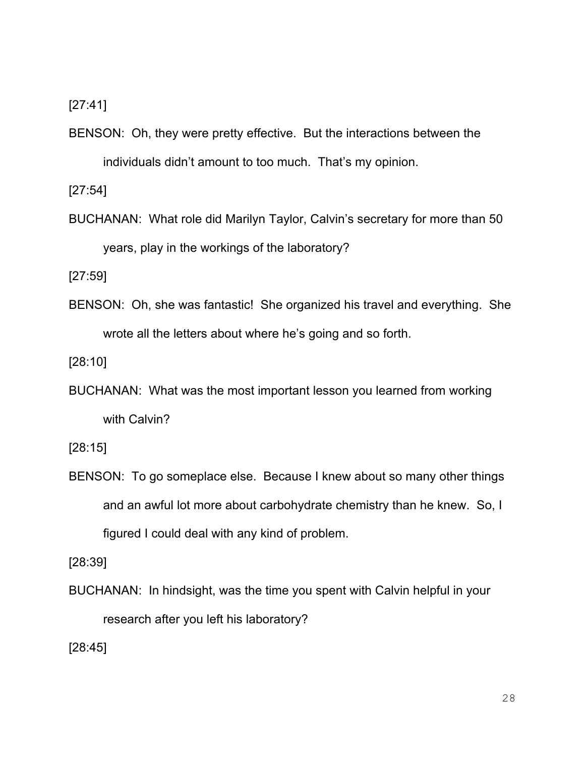[27:41]

BENSON: Oh, they were pretty effective. But the interactions between the individuals didn't amount to too much. That's my opinion.

[27:54]

BUCHANAN: What role did Marilyn Taylor, Calvin's secretary for more than 50 years, play in the workings of the laboratory?

[27:59]

BENSON: Oh, she was fantastic! She organized his travel and everything. She wrote all the letters about where he's going and so forth.

[28:10]

BUCHANAN: What was the most important lesson you learned from working with Calvin?

[28:15]

BENSON: To go someplace else. Because I knew about so many other things and an awful lot more about carbohydrate chemistry than he knew. So, I figured I could deal with any kind of problem.

[28:39]

BUCHANAN: In hindsight, was the time you spent with Calvin helpful in your research after you left his laboratory?

[28:45]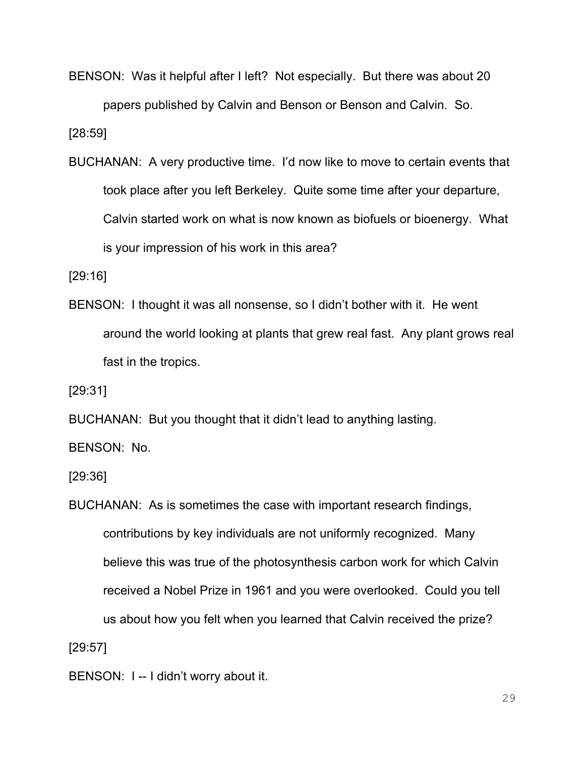BENSON: Was it helpful after I left? Not especially. But there was about 20 papers published by Calvin and Benson or Benson and Calvin. So.

[28:59]

BUCHANAN: A very productive time. I'd now like to move to certain events that took place after you left Berkeley. Quite some time after your departure, Calvin started work on what is now known as biofuels or bioenergy. What is your impression of his work in this area?

[29:16]

BENSON: I thought it was all nonsense, so I didn't bother with it. He went around the world looking at plants that grew real fast. Any plant grows real fast in the tropics.

[29:31]

BUCHANAN: But you thought that it didn't lead to anything lasting. BENSON: No.

[29:36]

BUCHANAN: As is sometimes the case with important research findings, contributions by key individuals are not uniformly recognized. Many believe this was true of the photosynthesis carbon work for which Calvin received a Nobel Prize in 1961 and you were overlooked. Could you tell us about how you felt when you learned that Calvin received the prize? [29:57]

BENSON: I -- I didn't worry about it.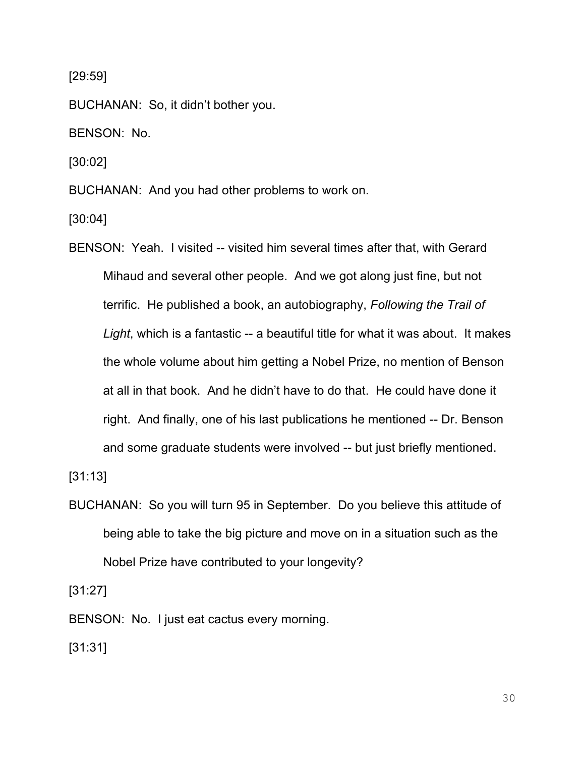[29:59]

BUCHANAN: So, it didn't bother you.

BENSON: No.

[30:02]

BUCHANAN: And you had other problems to work on.

[30:04]

BENSON: Yeah. I visited -- visited him several times after that, with Gerard Mihaud and several other people. And we got along just fine, but not terrific. He published a book, an autobiography, *Following the Trail of Light*, which is a fantastic -- a beautiful title for what it was about. It makes the whole volume about him getting a Nobel Prize, no mention of Benson at all in that book. And he didn't have to do that. He could have done it right. And finally, one of his last publications he mentioned -- Dr. Benson and some graduate students were involved -- but just briefly mentioned.

[31:13]

BUCHANAN: So you will turn 95 in September. Do you believe this attitude of being able to take the big picture and move on in a situation such as the Nobel Prize have contributed to your longevity?

[31:27]

BENSON: No. I just eat cactus every morning.

[31:31]